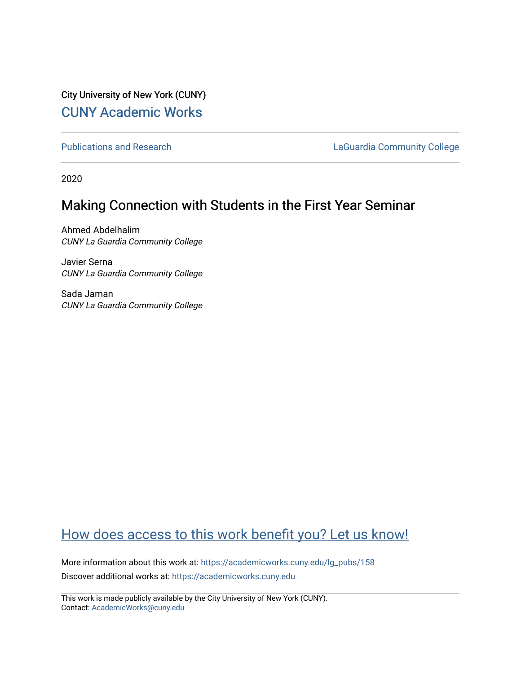City University of New York (CUNY) [CUNY Academic Works](https://academicworks.cuny.edu/) 

[Publications and Research](https://academicworks.cuny.edu/lg_pubs) **LaGuardia Community College** 

2020

# Making Connection with Students in the First Year Seminar

Ahmed Abdelhalim CUNY La Guardia Community College

Javier Serna CUNY La Guardia Community College

Sada Jaman CUNY La Guardia Community College

# [How does access to this work benefit you? Let us know!](http://ols.cuny.edu/academicworks/?ref=https://academicworks.cuny.edu/lg_pubs/158)

More information about this work at: [https://academicworks.cuny.edu/lg\\_pubs/158](https://academicworks.cuny.edu/lg_pubs/158)  Discover additional works at: [https://academicworks.cuny.edu](https://academicworks.cuny.edu/?)

This work is made publicly available by the City University of New York (CUNY). Contact: [AcademicWorks@cuny.edu](mailto:AcademicWorks@cuny.edu)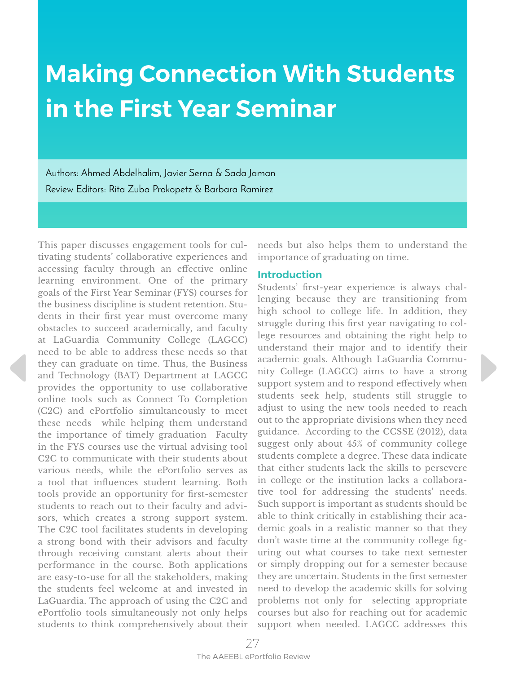# **Making Connection With Students in the First Year Seminar**

Authors: Ahmed Abdelhalim, Javier Serna & Sada Jaman Review Editors: Rita Zuba Prokopetz & Barbara Ramirez

This paper discusses engagement tools for cultivating students' collaborative experiences and accessing faculty through an effective online learning environment. One of the primary goals of the First Year Seminar (FYS) courses for the business discipline is student retention. Students in their first year must overcome many obstacles to succeed academically, and faculty at LaGuardia Community College (LAGCC) need to be able to address these needs so that they can graduate on time. Thus, the Business and Technology (BAT) Department at LAGCC provides the opportunity to use collaborative online tools such as Connect To Completion (C2C) and ePortfolio simultaneously to meet these needs while helping them understand the importance of timely graduation Faculty in the FYS courses use the virtual advising tool C2C to communicate with their students about various needs, while the ePortfolio serves as a tool that influences student learning. Both tools provide an opportunity for first-semester students to reach out to their faculty and advisors, which creates a strong support system. The C2C tool facilitates students in developing a strong bond with their advisors and faculty through receiving constant alerts about their performance in the course. Both applications are easy-to-use for all the stakeholders, making the students feel welcome at and invested in LaGuardia. The approach of using the C2C and ePortfolio tools simultaneously not only helps students to think comprehensively about their needs but also helps them to understand the importance of graduating on time.

### **Introduction**

Students' first-year experience is always challenging because they are transitioning from high school to college life. In addition, they struggle during this first year navigating to college resources and obtaining the right help to understand their major and to identify their academic goals. Although LaGuardia Community College (LAGCC) aims to have a strong support system and to respond effectively when students seek help, students still struggle to adjust to using the new tools needed to reach out to the appropriate divisions when they need guidance. According to the CCSSE (2012), data suggest only about 45% of community college students complete a degree. These data indicate that either students lack the skills to persevere in college or the institution lacks a collaborative tool for addressing the students' needs. Such support is important as students should be able to think critically in establishing their academic goals in a realistic manner so that they don't waste time at the community college figuring out what courses to take next semester or simply dropping out for a semester because they are uncertain. Students in the first semester need to develop the academic skills for solving problems not only for selecting appropriate courses but also for reaching out for academic support when needed. LAGCC addresses this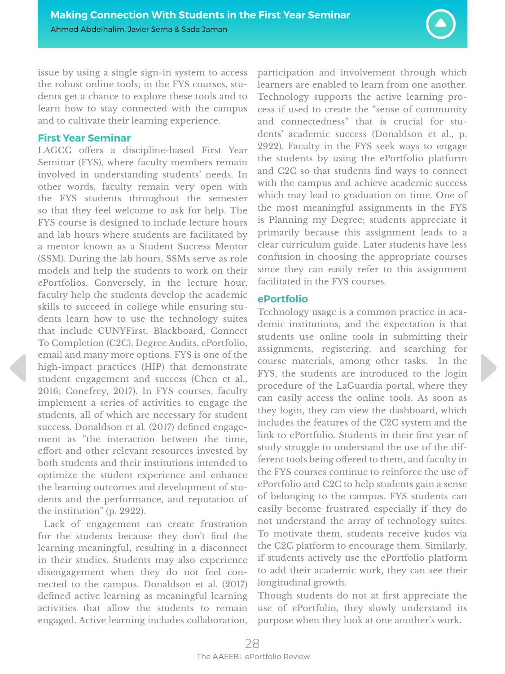issue by using a single sign-in system to access the robust online tools; in the FYS courses, students get a chance to explore these tools and to learn how to stay connected with the campus and to cultivate their learning experience.

### **First Year Seminar**

LAGCC offers a discipline-based First Year Seminar (FYS), where faculty members remain involved in understanding students' needs. In other words, faculty remain very open with the FYS students throughout the semester so that they feel welcome to ask for help. The FYS course is designed to include lecture hours and lab hours where students are facilitated by a mentor known as a Student Success Mentor (SSM). During the lab hours, SSMs serve as role models and help the students to work on their ePortfolios. Conversely, in the lecture hour, faculty help the students develop the academic skills to succeed in college while ensuring students learn how to use the technology suites that include CUNYFirst, Blackboard, Connect To Completion (C2C), Degree Audits, ePortfolio, email and many more options. FYS is one of the high-impact practices (HIP) that demonstrate student engagement and success (Chen et al., 2016; Conefrey, 2017). In FYS courses, faculty implement a series of activities to engage the students, all of which are necessary for student success. Donaldson et al. (2017) defined engagement as "the interaction between the time, effort and other relevant resources invested by both students and their institutions intended to optimize the student experience and enhance the learning outcomes and development of students and the performance, and reputation of the institution" (p. 2922).

 Lack of engagement can create frustration for the students because they don't find the learning meaningful, resulting in a disconnect in their studies. Students may also experience disengagement when they do not feel connected to the campus. Donaldson et al. (2017) defined active learning as meaningful learning activities that allow the students to remain engaged. Active learning includes collaboration,

participation and involvement through which learners are enabled to learn from one another. Technology supports the active learning process if used to create the "sense of community and connectedness" that is crucial for students' academic success (Donaldson et al., p. 2922). Faculty in the FYS seek ways to engage the students by using the ePortfolio platform and C2C so that students find ways to connect with the campus and achieve academic success which may lead to graduation on time. One of the most meaningful assignments in the FYS is Planning my Degree; students appreciate it primarily because this assignment leads to a clear curriculum guide. Later students have less confusion in choosing the appropriate courses since they can easily refer to this assignment facilitated in the FYS courses.

## **ePortfolio**

Technology usage is a common practice in academic institutions, and the expectation is that students use online tools in submitting their assignments, registering, and searching for course materials, among other tasks. In the FYS, the students are introduced to the login procedure of the LaGuardia portal, where they can easily access the online tools. As soon as they login, they can view the dashboard, which includes the features of the C2C system and the link to ePortfolio. Students in their first year of study struggle to understand the use of the different tools being offered to them, and faculty in the FYS courses continue to reinforce the use of ePortfolio and C2C to help students gain a sense of belonging to the campus. FYS students can easily become frustrated especially if they do not understand the array of technology suites. To motivate them, students receive kudos via the C2C platform to encourage them. Similarly, if students actively use the ePortfolio platform to add their academic work, they can see their longitudinal growth.

Though students do not at first appreciate the use of ePortfolio, they slowly understand its purpose when they look at one another's work.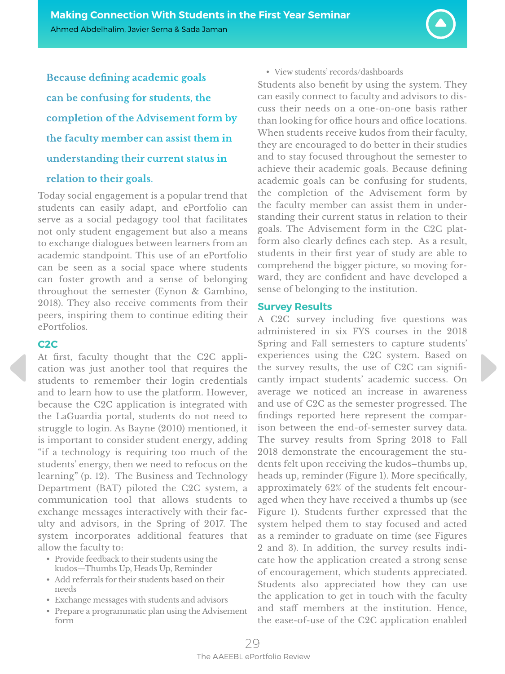**Because defining academic goals can be confusing for students, the completion of the Advisement form by the faculty member can assist them in understanding their current status in relation to their goals.** 

Today social engagement is a popular trend that students can easily adapt, and ePortfolio can serve as a social pedagogy tool that facilitates not only student engagement but also a means to exchange dialogues between learners from an academic standpoint. This use of an ePortfolio can be seen as a social space where students can foster growth and a sense of belonging throughout the semester (Eynon & Gambino, 2018). They also receive comments from their peers, inspiring them to continue editing their ePortfolios.

## **C2C**

At first, faculty thought that the C2C application was just another tool that requires the students to remember their login credentials and to learn how to use the platform. However, because the C2C application is integrated with the LaGuardia portal, students do not need to struggle to login. As Bayne (2010) mentioned, it is important to consider student energy, adding "if a technology is requiring too much of the students' energy, then we need to refocus on the learning" (p. 12). The Business and Technology Department (BAT) piloted the C2C system, a communication tool that allows students to exchange messages interactively with their faculty and advisors, in the Spring of 2017. The system incorporates additional features that allow the faculty to:

- Provide feedback to their students using the kudos—Thumbs Up, Heads Up, Reminder
- Add referrals for their students based on their needs
- Exchange messages with students and advisors
- Prepare a programmatic plan using the Advisement form

#### • View students' records/dashboards

Students also benefit by using the system. They can easily connect to faculty and advisors to discuss their needs on a one-on-one basis rather than looking for office hours and office locations. When students receive kudos from their faculty, they are encouraged to do better in their studies and to stay focused throughout the semester to achieve their academic goals. Because defining academic goals can be confusing for students, the completion of the Advisement form by the faculty member can assist them in understanding their current status in relation to their goals. The Advisement form in the C2C platform also clearly defines each step. As a result, students in their first year of study are able to comprehend the bigger picture, so moving forward, they are confident and have developed a sense of belonging to the institution.

#### **Survey Results**

A C2C survey including five questions was administered in six FYS courses in the 2018 Spring and Fall semesters to capture students' experiences using the C2C system. Based on the survey results, the use of C2C can significantly impact students' academic success. On average we noticed an increase in awareness and use of C2C as the semester progressed. The findings reported here represent the comparison between the end-of-semester survey data. The survey results from Spring 2018 to Fall 2018 demonstrate the encouragement the students felt upon receiving the kudos–thumbs up, heads up, reminder (Figure 1). More specifically, approximately 62% of the students felt encouraged when they have received a thumbs up (see Figure 1). Students further expressed that the system helped them to stay focused and acted as a reminder to graduate on time (see Figures 2 and 3). In addition, the survey results indicate how the application created a strong sense of encouragement, which students appreciated. Students also appreciated how they can use the application to get in touch with the faculty and staff members at the institution. Hence, the ease-of-use of the C2C application enabled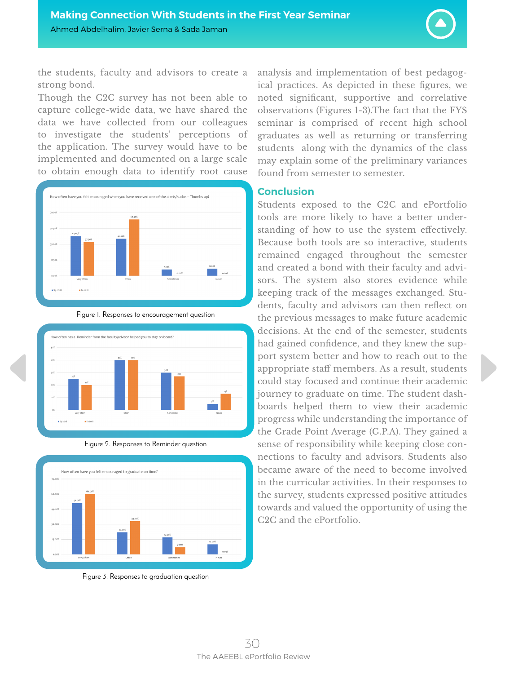the students, faculty and advisors to create a strong bond.

Though the C2C survey has not been able to capture college-wide data, we have shared the data we have collected from our colleagues to investigate the students' perceptions of the application. The survey would have to be implemented and documented on a large scale to obtain enough data to identify root cause









Figure 3. Responses to graduation question

analysis and implementation of best pedagogical practices. As depicted in these figures, we noted significant, supportive and correlative observations (Figures 1-3).The fact that the FYS seminar is comprised of recent high school graduates as well as returning or transferring students along with the dynamics of the class may explain some of the preliminary variances found from semester to semester.

#### **Conclusion**

Students exposed to the C2C and ePortfolio tools are more likely to have a better understanding of how to use the system effectively. Because both tools are so interactive, students remained engaged throughout the semester and created a bond with their faculty and advisors. The system also stores evidence while keeping track of the messages exchanged. Students, faculty and advisors can then reflect on the previous messages to make future academic decisions. At the end of the semester, students had gained confidence, and they knew the support system better and how to reach out to the appropriate staff members. As a result, students could stay focused and continue their academic journey to graduate on time. The student dashboards helped them to view their academic progress while understanding the importance of the Grade Point Average (G.P.A). They gained a sense of responsibility while keeping close connections to faculty and advisors. Students also became aware of the need to become involved in the curricular activities. In their responses to the survey, students expressed positive attitudes towards and valued the opportunity of using the C2C and the ePortfolio.